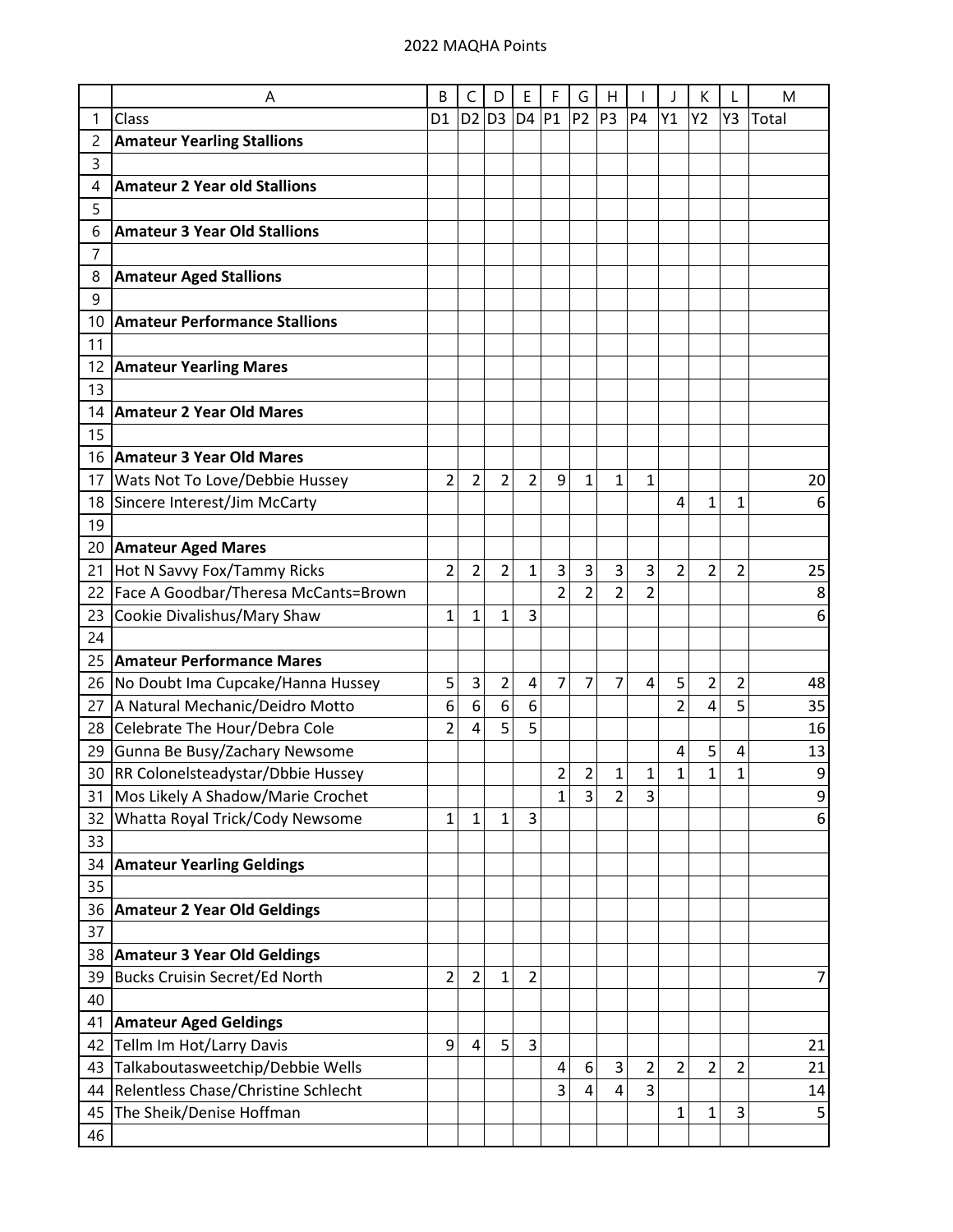|          | A                                                              | B              |                | D              | Е              | F              | G              | Н              |                |    | Κ              |             | M       |
|----------|----------------------------------------------------------------|----------------|----------------|----------------|----------------|----------------|----------------|----------------|----------------|----|----------------|-------------|---------|
| 1        | Class                                                          | D <sub>1</sub> | D <sub>2</sub> | D <sub>3</sub> | D4             | P1             | P <sub>2</sub> | P <sub>3</sub> | <b>P4</b>      | Y1 | Y2             | Y3          | Total   |
| 2        | <b>Amateur Yearling Stallions</b>                              |                |                |                |                |                |                |                |                |    |                |             |         |
| 3        |                                                                |                |                |                |                |                |                |                |                |    |                |             |         |
| 4        | <b>Amateur 2 Year old Stallions</b>                            |                |                |                |                |                |                |                |                |    |                |             |         |
| 5        |                                                                |                |                |                |                |                |                |                |                |    |                |             |         |
| 6        | <b>Amateur 3 Year Old Stallions</b>                            |                |                |                |                |                |                |                |                |    |                |             |         |
| 7        |                                                                |                |                |                |                |                |                |                |                |    |                |             |         |
| 8        | <b>Amateur Aged Stallions</b>                                  |                |                |                |                |                |                |                |                |    |                |             |         |
| 9        |                                                                |                |                |                |                |                |                |                |                |    |                |             |         |
| 10       | <b>Amateur Performance Stallions</b>                           |                |                |                |                |                |                |                |                |    |                |             |         |
| 11       |                                                                |                |                |                |                |                |                |                |                |    |                |             |         |
| 12       | <b>Amateur Yearling Mares</b>                                  |                |                |                |                |                |                |                |                |    |                |             |         |
| 13       |                                                                |                |                |                |                |                |                |                |                |    |                |             |         |
| 14       | <b>Amateur 2 Year Old Mares</b>                                |                |                |                |                |                |                |                |                |    |                |             |         |
| 15       |                                                                |                |                |                |                |                |                |                |                |    |                |             |         |
| 16       | <b>Amateur 3 Year Old Mares</b>                                |                |                |                |                |                |                |                |                |    |                |             |         |
| 17<br>18 | Wats Not To Love/Debbie Hussey<br>Sincere Interest/Jim McCarty | 2              | 2              | 2              | 2              | 9              | 1              | 1              | 1              | 4  | 1              | 1           | 20<br>6 |
| 19       |                                                                |                |                |                |                |                |                |                |                |    |                |             |         |
| 20       | <b>Amateur Aged Mares</b>                                      |                |                |                |                |                |                |                |                |    |                |             |         |
| 21       | Hot N Savvy Fox/Tammy Ricks                                    | $\overline{2}$ | $\overline{c}$ | $\overline{2}$ | 1              | 3              | 3              | 3              | 3              | 2  | $\overline{c}$ | 2           | 25      |
| 22       | Face A Goodbar/Theresa McCants=Brown                           |                |                |                |                | $\overline{2}$ | $\overline{2}$ | $\overline{2}$ | $\overline{2}$ |    |                |             | 8       |
| 23       | Cookie Divalishus/Mary Shaw                                    | 1              | 1              | 1              | 3              |                |                |                |                |    |                |             | 6       |
| 24       |                                                                |                |                |                |                |                |                |                |                |    |                |             |         |
| 25       | <b>Amateur Performance Mares</b>                               |                |                |                |                |                |                |                |                |    |                |             |         |
| 26       | No Doubt Ima Cupcake/Hanna Hussey                              | 5              | 3              | 2              | 4              | 7              | 7              | 7              | 4              | 5  | 2              | 2           | 48      |
| 27       | A Natural Mechanic/Deidro Motto                                | 6              | 6              | 6              | 6              |                |                |                |                | 2  | 4              | 5           | 35      |
| 28       | Celebrate The Hour/Debra Cole                                  | $\overline{2}$ | 4              | 5              | 5              |                |                |                |                |    |                |             | 16      |
|          | 29 Gunna Be Busy/Zachary Newsome                               |                |                |                |                |                |                |                |                | 4  | 5              | 4           | 13      |
|          | 30 RR Colonelsteadystar/Dbbie Hussey                           |                |                |                |                | 2              | $\overline{2}$ | 1              | 1              | 1  | 1              | $\mathbf 1$ | 9       |
| 31       | Mos Likely A Shadow/Marie Crochet                              |                |                |                |                | 1              | 3              | 2              | 3              |    |                |             | 9       |
| 32       | Whatta Royal Trick/Cody Newsome                                | 1              | $\mathbf 1$    | 1              | 3              |                |                |                |                |    |                |             | 6       |
| 33       |                                                                |                |                |                |                |                |                |                |                |    |                |             |         |
| 34       | <b>Amateur Yearling Geldings</b>                               |                |                |                |                |                |                |                |                |    |                |             |         |
| 35       |                                                                |                |                |                |                |                |                |                |                |    |                |             |         |
| 36       | <b>Amateur 2 Year Old Geldings</b>                             |                |                |                |                |                |                |                |                |    |                |             |         |
| 37       |                                                                |                |                |                |                |                |                |                |                |    |                |             |         |
| 38       | <b>Amateur 3 Year Old Geldings</b>                             |                |                |                |                |                |                |                |                |    |                |             |         |
| 39       | <b>Bucks Cruisin Secret/Ed North</b>                           | 2              | $\overline{2}$ | 1              | $\overline{2}$ |                |                |                |                |    |                |             | 7       |
| 40       |                                                                |                |                |                |                |                |                |                |                |    |                |             |         |
| 41       | <b>Amateur Aged Geldings</b>                                   |                |                |                |                |                |                |                |                |    |                |             |         |
| 42       | Tellm Im Hot/Larry Davis                                       | 9              | 4              | 5              | 3              |                |                |                |                |    |                |             | 21      |
| 43       | Talkaboutasweetchip/Debbie Wells                               |                |                |                |                | 4              | 6              | 3              | $\overline{2}$ | 2  | 2              | 2           | 21      |
| 44       | Relentless Chase/Christine Schlecht                            |                |                |                |                | 3              | 4              | 4              | 3              |    |                |             | 14      |
| 45       | The Sheik/Denise Hoffman                                       |                |                |                |                |                |                |                |                | 1  | 1              | 3           | 5       |
| 46       |                                                                |                |                |                |                |                |                |                |                |    |                |             |         |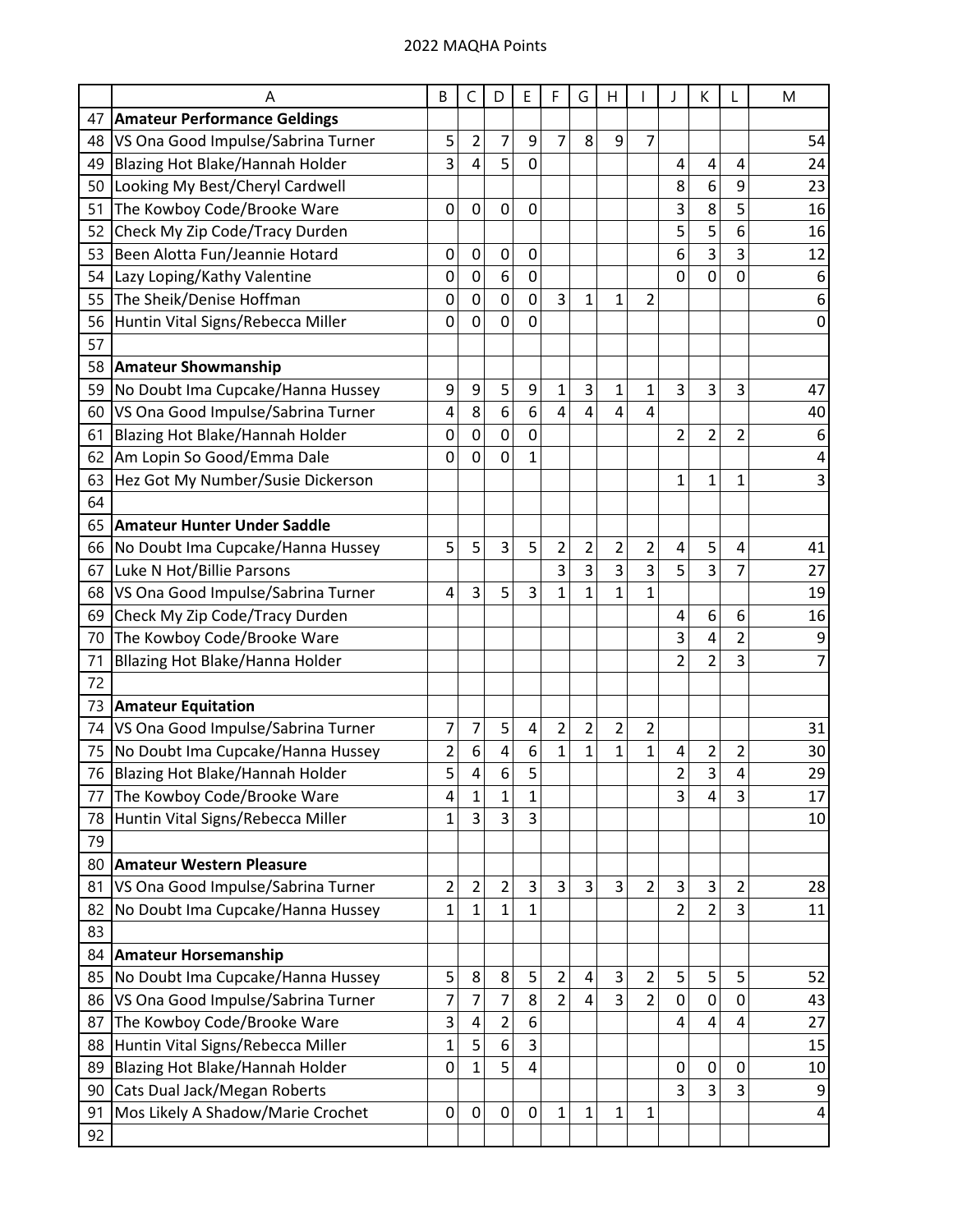|    | Α                                    | B              | C              | D              | Е              | F              | G                       | Η              |                | J              | К              |                | M                |
|----|--------------------------------------|----------------|----------------|----------------|----------------|----------------|-------------------------|----------------|----------------|----------------|----------------|----------------|------------------|
|    | 47 Amateur Performance Geldings      |                |                |                |                |                |                         |                |                |                |                |                |                  |
| 48 | VS Ona Good Impulse/Sabrina Turner   | 5              | $\overline{c}$ | 7              | 9              | 7              | 8                       | 9              | 7              |                |                |                | 54               |
| 49 | Blazing Hot Blake/Hannah Holder      | 3              | 4              | 5              | $\overline{0}$ |                |                         |                |                | 4              | 4              | 4              | 24               |
| 50 | Looking My Best/Cheryl Cardwell      |                |                |                |                |                |                         |                |                | 8              | 6              | 9              | 23               |
| 51 | The Kowboy Code/Brooke Ware          | $\mathbf 0$    | 0              | $\mathbf 0$    | 0              |                |                         |                |                | 3              | 8              | 5              | 16               |
| 52 | Check My Zip Code/Tracy Durden       |                |                |                |                |                |                         |                |                | 5              | 5              | 6              | 16               |
| 53 | Been Alotta Fun/Jeannie Hotard       | 0              | 0              | 0              | 0              |                |                         |                |                | 6              | 3              | 3              | 12               |
| 54 | Lazy Loping/Kathy Valentine          | 0              | 0              | 6              | 0              |                |                         |                |                | 0              | 0              | 0              | 6                |
| 55 | The Sheik/Denise Hoffman             | 0              | 0              | $\mathbf 0$    | 0              | 3              | $\mathbf{1}$            | 1              | $\overline{2}$ |                |                |                | 6                |
| 56 | Huntin Vital Signs/Rebecca Miller    | 0              | 0              | $\overline{0}$ | 0              |                |                         |                |                |                |                |                | 0                |
| 57 |                                      |                |                |                |                |                |                         |                |                |                |                |                |                  |
| 58 | <b>Amateur Showmanship</b>           |                |                |                |                |                |                         |                |                |                |                |                |                  |
| 59 | No Doubt Ima Cupcake/Hanna Hussey    | 9              | 9              | 5              | 9              | 1              | 3                       | 1              | $\mathbf 1$    | 3              | 3              | 3              | 47               |
| 60 | VS Ona Good Impulse/Sabrina Turner   | 4              | 8              | 6              | 6              | 4              | 4                       | 4              | 4              |                |                |                | 40               |
| 61 | Blazing Hot Blake/Hannah Holder      | 0              | 0              | $\mathbf 0$    | 0              |                |                         |                |                | $\overline{2}$ | $\overline{2}$ | $\overline{2}$ | 6                |
| 62 | Am Lopin So Good/Emma Dale           | 0              | 0              | $\mathbf 0$    | 1              |                |                         |                |                |                |                |                | 4                |
| 63 | Hez Got My Number/Susie Dickerson    |                |                |                |                |                |                         |                |                | 1              | 1              | $\mathbf{1}$   | 3                |
| 64 |                                      |                |                |                |                |                |                         |                |                |                |                |                |                  |
| 65 | <b>Amateur Hunter Under Saddle</b>   |                |                |                |                |                |                         |                |                |                |                |                |                  |
| 66 | No Doubt Ima Cupcake/Hanna Hussey    | 5              | 5              | 3              | 5              | 2              | $\overline{\mathbf{c}}$ | 2              | $\overline{2}$ | 4              | 5              | 4              | 41               |
| 67 | Luke N Hot/Billie Parsons            |                |                |                |                | 3              | 3                       | 3              | 3              | 5              | 3              | 7              | 27               |
| 68 | VS Ona Good Impulse/Sabrina Turner   | 4              | 3              | 5              | 3              | $\mathbf 1$    | $\mathbf{1}$            | 1              | $\mathbf{1}$   |                |                |                | 19               |
| 69 | Check My Zip Code/Tracy Durden       |                |                |                |                |                |                         |                |                | 4              | 6              | 6              | 16               |
| 70 | The Kowboy Code/Brooke Ware          |                |                |                |                |                |                         |                |                | 3              | 4              | 2              | $\boldsymbol{9}$ |
| 71 | Bllazing Hot Blake/Hanna Holder      |                |                |                |                |                |                         |                |                | 2              | $\overline{2}$ | 3              | 7                |
| 72 |                                      |                |                |                |                |                |                         |                |                |                |                |                |                  |
| 73 | <b>Amateur Equitation</b>            |                |                |                |                |                |                         |                |                |                |                |                |                  |
| 74 | VS Ona Good Impulse/Sabrina Turner   | 7              | 7              | 5              | 4              | 2              | $\overline{2}$          | $\overline{2}$ | $\overline{2}$ |                |                |                | 31               |
|    | 75 No Doubt Ima Cupcake/Hanna Hussey | 2              | 6              | 4              | 6              | $\mathbf 1$    | 1                       | 1              | 1              | 4              | 2              | 2              | 30               |
| 76 | Blazing Hot Blake/Hannah Holder      | 5              | 4              | 6              | 5              |                |                         |                |                | $\overline{2}$ | 3              | 4              | 29               |
| 77 | The Kowboy Code/Brooke Ware          | 4              | 1              | $\mathbf{1}$   | 1              |                |                         |                |                | 3              | 4              | 3              | 17               |
| 78 | Huntin Vital Signs/Rebecca Miller    | 1              | 3              | 3              | 3              |                |                         |                |                |                |                |                | 10               |
| 79 |                                      |                |                |                |                |                |                         |                |                |                |                |                |                  |
| 80 | Amateur Western Pleasure             |                |                |                |                |                |                         |                |                |                |                |                |                  |
| 81 | VS Ona Good Impulse/Sabrina Turner   | $\overline{2}$ | $\overline{c}$ | $\overline{c}$ | 3              | 3              | 3                       | 3              | $\overline{2}$ | 3              | 3              | 2              | 28               |
| 82 | No Doubt Ima Cupcake/Hanna Hussey    | $\mathbf 1$    | 1              | $\overline{1}$ | $\mathbf{1}$   |                |                         |                |                | 2              | $\overline{2}$ | 3              | 11               |
| 83 |                                      |                |                |                |                |                |                         |                |                |                |                |                |                  |
| 84 | <b>Amateur Horsemanship</b>          |                |                |                |                |                |                         |                |                |                |                |                |                  |
| 85 | No Doubt Ima Cupcake/Hanna Hussey    | 5              | 8              | 8              | 5              | 2              | 4                       | 3              | $\overline{2}$ | 5              | 5              | 5              | 52               |
| 86 | VS Ona Good Impulse/Sabrina Turner   | 7              | 7              | 7              | 8              | $\overline{2}$ | 4                       | 3              | $\overline{2}$ | 0              | 0              | 0              | 43               |
| 87 | The Kowboy Code/Brooke Ware          | 3              | 4              | $\overline{2}$ | 6              |                |                         |                |                | 4              | 4              | 4              | 27               |
| 88 | Huntin Vital Signs/Rebecca Miller    | $\mathbf 1$    | 5              | 6              | 3              |                |                         |                |                |                |                |                | 15               |
| 89 | Blazing Hot Blake/Hannah Holder      | $\mathbf 0$    | 1              | 5              | $\overline{4}$ |                |                         |                |                | 0              | $\mathbf 0$    | 0              | $10\,$           |
| 90 | Cats Dual Jack/Megan Roberts         |                |                |                |                |                |                         |                |                | 3              | 3              | 3              | 9                |
| 91 | Mos Likely A Shadow/Marie Crochet    | 0              | 0              | $\mathbf 0$    | 0              | 1              | 1                       | 1              | 1              |                |                |                | 4                |
| 92 |                                      |                |                |                |                |                |                         |                |                |                |                |                |                  |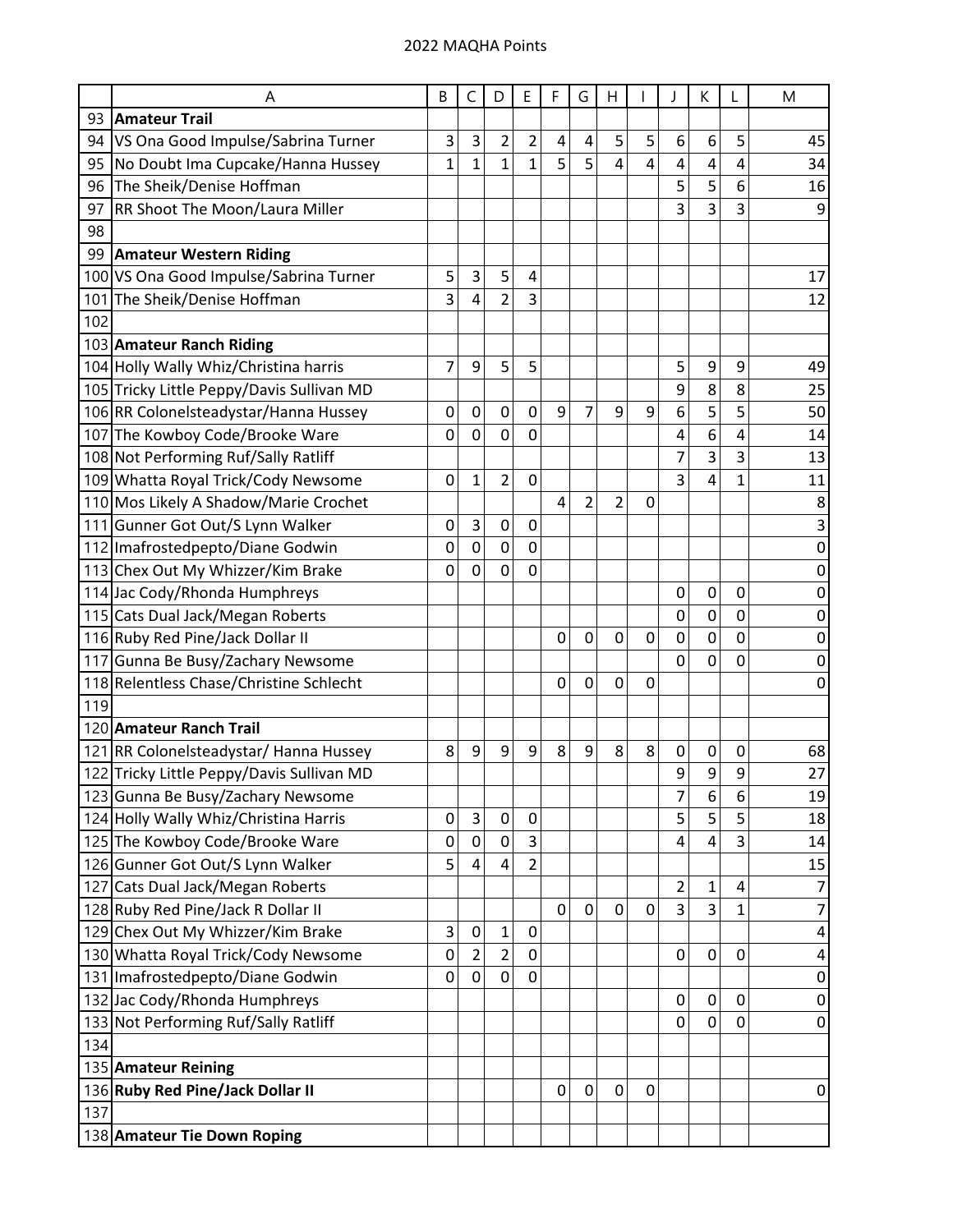|     | A                                         | B           | $\mathsf{C}$ | D                       | E                | F         | G              | Η              |                | J              | К              |             | M              |
|-----|-------------------------------------------|-------------|--------------|-------------------------|------------------|-----------|----------------|----------------|----------------|----------------|----------------|-------------|----------------|
| 93  | <b>Amateur Trail</b>                      |             |              |                         |                  |           |                |                |                |                |                |             |                |
| 94  | VS Ona Good Impulse/Sabrina Turner        | 3           | 3            | $\overline{\mathbf{c}}$ | 2                | 4         | 4              | 5              | 5              | 6              | 6              | 5           | 45             |
| 95  | No Doubt Ima Cupcake/Hanna Hussey         | 1           | 1            | $\mathbf{1}$            | $\mathbf{1}$     | 5         | 5              | 4              | $\overline{4}$ | 4              | 4              | 4           | 34             |
| 96  | The Sheik/Denise Hoffman                  |             |              |                         |                  |           |                |                |                | 5              | 5              | 6           | 16             |
| 97  | RR Shoot The Moon/Laura Miller            |             |              |                         |                  |           |                |                |                | 3              | 3              | 3           | 9              |
| 98  |                                           |             |              |                         |                  |           |                |                |                |                |                |             |                |
| 99  | <b>Amateur Western Riding</b>             |             |              |                         |                  |           |                |                |                |                |                |             |                |
|     | 100 VS Ona Good Impulse/Sabrina Turner    | 5           | 3            | 5                       | 4                |           |                |                |                |                |                |             | 17             |
|     | 101 The Sheik/Denise Hoffman              | 3           | 4            | $\overline{2}$          | 3                |           |                |                |                |                |                |             | 12             |
| 102 |                                           |             |              |                         |                  |           |                |                |                |                |                |             |                |
|     | 103 Amateur Ranch Riding                  |             |              |                         |                  |           |                |                |                |                |                |             |                |
|     | 104 Holly Wally Whiz/Christina harris     | 7           | 9            | 5                       | 5                |           |                |                |                | 5              | 9              | 9           | 49             |
|     | 105 Tricky Little Peppy/Davis Sullivan MD |             |              |                         |                  |           |                |                |                | 9              | 8              | 8           | 25             |
|     | 106 RR Colonelsteadystar/Hanna Hussey     | 0           | 0            | 0                       | 0                | 9         | 7              | 9              | 9              | 6              | 5              | 5           | 50             |
|     | 107 The Kowboy Code/Brooke Ware           | $\mathbf 0$ | 0            | $\mathbf 0$             | 0                |           |                |                |                | 4              | 6              | 4           | 14             |
|     | 108 Not Performing Ruf/Sally Ratliff      |             |              |                         |                  |           |                |                |                | 7              | 3              | 3           | 13             |
|     | 109 Whatta Royal Trick/Cody Newsome       | $\mathbf 0$ | 1            | $\overline{2}$          | $\mathbf 0$      |           |                |                |                | 3              | 4              | 1           | 11             |
|     | 110 Mos Likely A Shadow/Marie Crochet     |             |              |                         |                  | 4         | $\overline{2}$ | $\overline{2}$ | 0              |                |                |             | 8              |
|     | 111 Gunner Got Out/S Lynn Walker          | 0           | 3            | 0                       | 0                |           |                |                |                |                |                |             | 3              |
|     | 112 Imafrostedpepto/Diane Godwin          | 0           | 0            | $\mathbf 0$             | 0                |           |                |                |                |                |                |             | $\pmb{0}$      |
|     | 113 Chex Out My Whizzer/Kim Brake         | 0           | 0            | $\mathbf 0$             | 0                |           |                |                |                |                |                |             | 0              |
|     | 114 Jac Cody/Rhonda Humphreys             |             |              |                         |                  |           |                |                |                | 0              | 0              | $\mathbf 0$ | 0              |
|     | 115 Cats Dual Jack/Megan Roberts          |             |              |                         |                  |           |                |                |                | 0              | $\mathbf 0$    | 0           | 0              |
|     | 116 Ruby Red Pine/Jack Dollar II          |             |              |                         |                  | $\pmb{0}$ | 0              | 0              | $\mathbf 0$    | 0              | $\mathbf 0$    | 0           | $\pmb{0}$      |
|     | 117 Gunna Be Busy/Zachary Newsome         |             |              |                         |                  |           |                |                |                | 0              | $\overline{0}$ | 0           | 0              |
|     | 118 Relentless Chase/Christine Schlecht   |             |              |                         |                  | 0         | 0              | 0              | 0              |                |                |             | 0              |
| 119 |                                           |             |              |                         |                  |           |                |                |                |                |                |             |                |
|     | 120 Amateur Ranch Trail                   |             |              |                         |                  |           |                |                |                |                |                |             |                |
|     | 121 RR Colonelsteadystar/ Hanna Hussey    | 8           | 9            | 9                       | 9                | 8         | 9              | 8              | 8              | 0              | 0              | 0           | 68             |
|     | 122 Tricky Little Peppy/Davis Sullivan MD |             |              |                         |                  |           |                |                |                | 9              | 9              | 9           | 27             |
|     | 123 Gunna Be Busy/Zachary Newsome         |             |              |                         |                  |           |                |                |                | 7              | 6              | 6           | 19             |
|     | 124 Holly Wally Whiz/Christina Harris     | 0           | 3            | $\mathbf 0$             | 0                |           |                |                |                | 5              | 5              | 5           | 18             |
|     | 125 The Kowboy Code/Brooke Ware           | $\mathbf 0$ | $\pmb{0}$    | $\mathbf 0$             | 3                |           |                |                |                | 4              | 4              | 3           | 14             |
|     | 126 Gunner Got Out/S Lynn Walker          | 5           | 4            | 4                       | $\overline{2}$   |           |                |                |                |                |                |             | 15             |
|     | 127 Cats Dual Jack/Megan Roberts          |             |              |                         |                  |           |                |                |                | $\overline{2}$ | 1              | 4           | $\overline{7}$ |
|     | 128 Ruby Red Pine/Jack R Dollar II        |             |              |                         |                  | $\pmb{0}$ | 0              | 0              | $\mathbf 0$    | 3              | 3              | 1           | $\overline{7}$ |
|     | 129 Chex Out My Whizzer/Kim Brake         | 3           | $\pmb{0}$    | $\mathbf{1}$            | $\boldsymbol{0}$ |           |                |                |                |                |                |             | 4              |
|     | 130 Whatta Royal Trick/Cody Newsome       | 0           | 2            | $\overline{2}$          | $\boldsymbol{0}$ |           |                |                |                | 0              | $\mathbf 0$    | 0           | 4              |
|     | 131 Imafrostedpepto/Diane Godwin          | 0           | 0            | $\mathbf 0$             | $\mathbf 0$      |           |                |                |                |                |                |             | $\pmb{0}$      |
|     | 132 Jac Cody/Rhonda Humphreys             |             |              |                         |                  |           |                |                |                | 0              | 0              | 0           | $\pmb{0}$      |
|     | 133 Not Performing Ruf/Sally Ratliff      |             |              |                         |                  |           |                |                |                | 0              | $\overline{0}$ | 0           | $\mathbf 0$    |
| 134 |                                           |             |              |                         |                  |           |                |                |                |                |                |             |                |
|     | 135 Amateur Reining                       |             |              |                         |                  |           |                |                |                |                |                |             |                |
|     | 136 Ruby Red Pine/Jack Dollar II          |             |              |                         |                  | 0         | 0              | 0              | $\mathbf 0$    |                |                |             | 0              |
| 137 |                                           |             |              |                         |                  |           |                |                |                |                |                |             |                |
|     | 138 Amateur Tie Down Roping               |             |              |                         |                  |           |                |                |                |                |                |             |                |